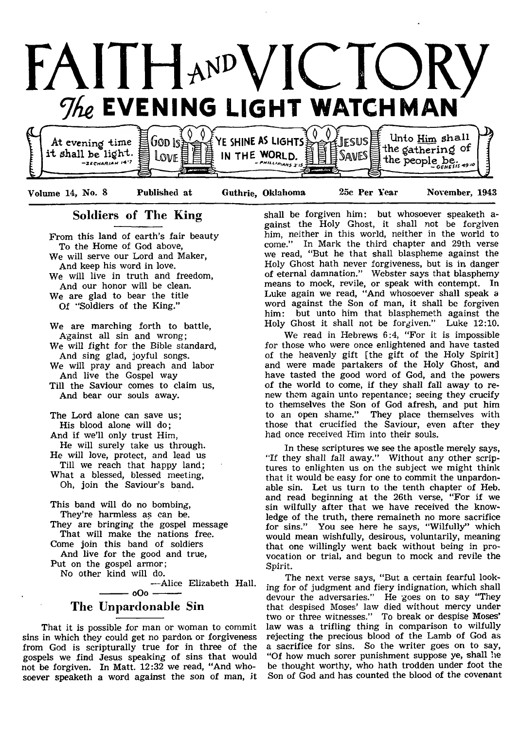

Volume 14, No. 8 Published at Guthrie, Oklahoma 25c Per Year November, 1943

## Soldiers of The King

From this land of earth's fair beauty To the Home of God above, We will serve our Lord and Maker, And keep his word in love. We will live in truth and freedom, And our honor will be clean. We are glad to bear the title Of "Soldiers of the King."

We are marching forth to battle, Against all sin and wrong; We will fight for the Bible standard, And sing glad, joyful songs. We will pray and preach and labor And live the Gospel way Till the Saviour comes to claim us, And bear our souls away.

The Lord alone can save us; His blood alone will do; And if we'll only trust Him, He will surely take us through. He will love, protect, and lead us Till we reach that happy land;

What a blessed, blessed meeting, Oh, join the Saviour's band.

This band will do no bombing, They're harmless as can be. They are bringing the gospel message That will make the nations free. Come join this band of soldiers

And live for the good and true, Put on the gospel armor;

No other kind will do.

— Alice Elizabeth Hall.  $-$  oOo  $-$ 

## The Unpardonable Sin

That it is possible for man or woman to commit sins in which they could get no pardon or forgiveness from God is scripturally true for in three of the gospels we find Jesus speaking of sins that would not be forgiven. In Matt. 12:32 we read, "And whosoever speaketh a word against the son of man, it

shall be forgiven him: but whosoever speaketh against the Holy Ghost, it shall not be forgiven him, neither in this world, neither in the world to come." In Mark the third chapter and 29th verse we read, "But he that shall blaspheme against the Holy Ghost hath never forgiveness, but is in danger of eternal damnation." Webster says that blasphemy means to mock, revile, or speak with contempt. In Luke again we read, "And whosoever shall speak a word against the Son of man, it shall be forgiven him: but unto him that blasphemeth against the Holy Ghost it shall not be forgiven." Luke 12:10.

We read in Hebrews 6:4, "For it is impossible for those who were once enlightened and have tasted of the heavenly gift [the gift of the Holy Spirit] and were made partakers of the Holy Ghost, and have tasted the good word of God, and the powers of the world to come, if they shall fall away to renew them again unto repentance; seeing they crucify to themselves the Son of God afresh, and put him to an open shame." They place themselves with those that crucified the Saviour, even after they had once received Him into their souls.

In these scriptures we see the apostle merely says, "If they shall fall away." Without any other scriptures to enlighten us on the subject we might think that it would be easy for one to commit the unpardonable sin. Let us turn to the tenth chapter of Heb. and read beginning at the 26th verse, "For if we sin wilfully after that we have received the knowledge of the truth, there remaineth no more sacrifice for sins." You see here he says, "Wilfully" which would mean wishfully, desirous, voluntarily, meaning that one willingly went back without being in provocation or trial, and begun to mock and revile the Spirit.

The next verse says, "But a certain fearful looking for of judgment and fiery indignation, which shall devour the adversaries." He goes on to say "They that despised Moses' law died without mercy under two or three witnesses." To break or despise Moses' law was a trifling thing in comparison to wilfully rejecting the precious blood of the Lamb of God as a sacrifice for sins. So the writer goes on to say, "Of how much sorer punishment suppose ye, shall lie be thought worthy, who hath trodden under foot the Son of God and has counted the blood of the covenant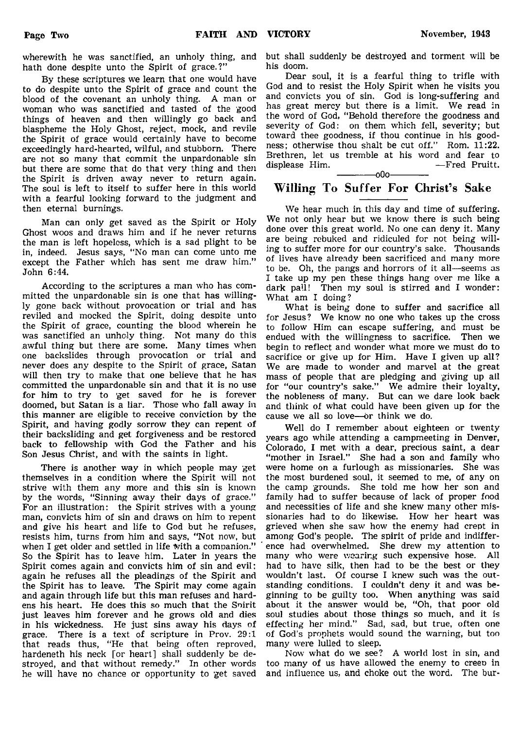wherewith he was sanctified, an unholy thing, and hath done despite unto the Spirit of grace.?"

By these scriptures we learn that one would have to do despite unto the Spirit of grace and count the blood of the covenant an unholy thing. A man or woman who was sanctified and tasted of the good things of heaven and then willingly go back and blaspheme the Holy Ghost, reject, mock, and revile the Spirit of grace would certainly have to become exceedingly hard-hearted, wilful, and stubborn. There are not so many that commit the unpardonable sin but there are some that do that very thing and then the Spirit is driven away never to return again. The soul is left to itself to suffer here in this world with a fearful looking forward to the judgment and then eternal burnings.

Man can only get saved as the Spirit or Holy Ghost woos and draws him and if he never returns the man is left hopeless, which is a sad plight to be in, indeed. Jesus says, "No man can come unto me except the Father which has sent me draw him." John 6:44.

According to the scriptures a man who has committed the unpardonable sin is one that has willingly gone back without provocation or trial and has reviled and mocked the Spirit, doing despite unto the Spirit of grace, counting the blood wherein he was sanctified an unholy thing. Not many do this awful thing but there are some. Many times when one backslides through provocation or trial and never does any despite to the Spirit of grace, Satan will then try to make that one believe that he has committed the unpardonable sin and that it is no use for him to try to 'get saved for he is forever doomed, but Satan is a liar. Those who fall away in this manner are eligible to receive conviction by the Spirit, and having godly sorrow they can repent of their backsliding and get forgiveness and be restored back to fellowship with God the Father and his Son Jesus Christ, and with the saints in light.

There is another way in which people may get themselves in a condition where the Spirit will not strive with them any more and this sin is known by the words, "Sinning away their days of grace." For an illustration: the Spirit strives with a young man, convicts him of sin and draws on him to repent and give his heart and life to God but he refuses, resists him, turns from him and says, "Not now, but when I get older and settled in life With a companion." So the Spirit has to leave him. Later in years the Spirit comes again and convicts him of sin and evil: again he refuses all the pleadings of the Spirit and the Spirit has to leave. The Spirit may come again and again through life but this man refuses and hardens his heart. He does this so much that the Snirit just leaves him forever and he grows old and dies in his wickedness. He just sins away his days of grace. There is a text of scripture in Prov. 29:1 that reads thus, "He that being often reproved, hardeneth his neck [or heart] shall suddenly be destroyed, and that without remedy." In other words he will have no chance or opportunity to get saved

but shall suddenly be destroyed and torment will be his doom.

Dear soul, it is a fearful thing to trifle with God and to resist the Holy Spirit when he visits you and convicts you of sin. God is long-suffering and has great mercy but there is a limit. We read in the word of God, "Behold therefore the goodness and severity of God: on them which fell, severity; but toward thee goodness, if thou continue in his goodness; otherwise thou shalt be cut off." Rom. 11:22. Brethren, let us tremble at his word and fear to displease Him.  $-$ Fred Pruitt. displease Him. — Fred Pruitt.

## Willing To Suffer For Christ's Sake

We hear much in this day and time of suffering. We not only hear but we know there is such being done over this great world. No one can deny it. Many are being rebuked and ridiculed for not being willing to suffer more for our country's sake. Thousands of lives have already been sacrificed and many more to be. Oh, the pangs and horrors of it all—seems as I take up my pen these things hang over me like a dark pall! Then my soul is stirred and I wonder: What am I doing?

What is being done to suffer and sacrifice all for Jesus? We know no one who takes up the cross to follow Him can escape suffering, and must be endued with the willingness to sacrifice. Then we begin to reflect and wonder what more we must do to sacrifice or give up for Him. Have I given up all? We are made to wonder and marvel at the great mass of people that are pledging and giving up all for "our country's sake." We admire their loyalty, the nobleness of many. But can we dare look back and think of what could have been given up for the cause we all so love— or think we do.

Well do I remember about eighteen or twenty years ago while attending a campmeeting in Denver, Colorado, I met with a dear, precious saint, a dear "mother in Israel." She had a son and family who were home on a furlough as missionaries. She was the most burdened soul, it seemed to me, of any on the camp grounds. She told me how her son and family had to suffer because of lack of proper food and necessities of life and she knew many other missionaries had to do likewise. How her heart was grieved when she saw how the enemy had crept in among God's people. The spirit of pride and indifference had overwhelmed. She drew my attention to many who were wearing such expensive hose. All had to have silk, then had to be the best or they wouldn't last. Of course I knew such was the outstanding conditions. I couldn't deny it and was beginning to be guilty too. When anything was said about it the answer would be, "Oh, that poor old soul studies about those things so much, and it is effecting her mind." Sad, sad, but true, often one of God's prophets would sound the warning, but too many were lulled to sleep.

Now what do we see? A world lost in sin, and too many of us have allowed the enemy to creep in and influence us, and choke out the word. The bur

------------- oOo-------------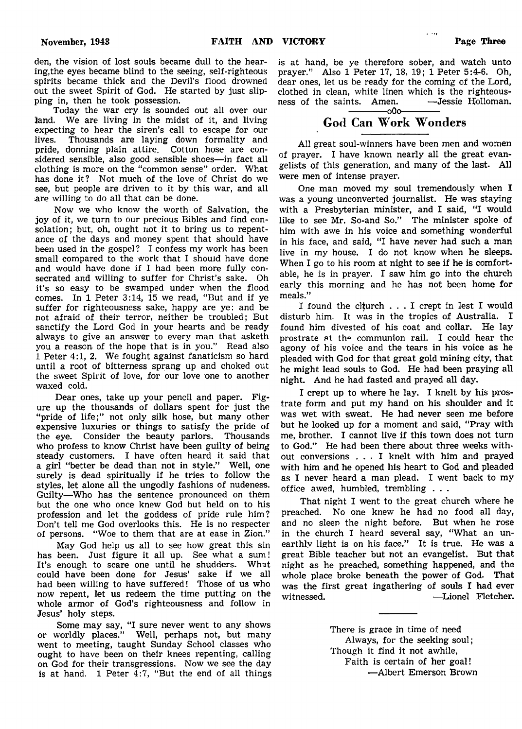den, the vision of lost souls became dull to the hearing,the eyes became blind to the seeing, self-righteous spirits became thick and the Devil's flood drowned out the sweet Spirit of God. He started by just slipping in, then he took possession.

Today the war cry is sounded out all over our land. We are living in the midst of it, and living expecting to hear the siren's call to escape for our lives Thousands are laving down formality and Thousands are laying down formality and pride, donning plain attire. Cotton hose are considered sensible, also good sensible shoes— in fact all clothing is more on the "common sense" order. What has done it? Not much of the love of Christ do we see, but people are driven to it by this war, and all are willing to do all that can be done.

Now we who know the worth of Salvation, the joy of it, we turn to our precious Bibles and find consolation; but, oh, ought not it to bring us to repentance of the days and money spent that should have been used in the gospel? I confess my work has been small compared to the work that I should have done and would have done if I had been more fully consecrated and willing to suffer for Christ's sake. Oh it's so easy to be swamped under when the flood comes. In 1 Peter 3:14, 15 we read, "But and if ye suffer for righteousness sake, happy are ye: and be not afraid of their terror, neither be troubled; But sanctify the Lord God in your hearts and be ready always to give an answer to every man that asketh you a reason, of the hope that is in you." Read also 1 Peter 4:1, 2. We fought against fanaticism so hard until a root of bitterness sprang up and choked out the sweet Spirit of love, for our love one to another waxed cold.

Dear ones, take up your pencil and paper. Figure up the thousands of dollars spent for just the "pride of life;" not only silk hose, but many other expensive luxuries or things to satisfy the pride of the eye. Consider the beauty parlors. Thousands who profess to know Christ have been guilty of being steady customers. I have often heard it said that a girl "better be dead than not in style." Well, one surely is dead spiritually if he tries to follow the styles, let alone all the ungodly fashions of nudeness. Guilty—Who has the sentence pronounced on them but the one who once knew God but held on to his profession and let the goddess of pride rule him? Don't tell me God overlooks this. He is no respecter of persons. "Woe to them that are at ease in Zion."

May God help us all to see how great this sin has been. Just figure it all up. See what a sum! It's enough to scare one until he shudders. What could have been done for Jesus' sake if we all had been willing to have suffered! Those of us who now repent, let us redeem the time putting on the whole armor of God's righteousness and follow in Jesus' holy steps.

Some may say, "I sure never went to any shows or worldly places." Well, perhaps not, but many went to meeting, taught Sunday School classes who ought to have been on their knees repenting, calling on God for their transgressions. Now we see the day is at hand. 1 Peter  $\overline{4:7}$ , "But the end of all things

is at hand, be ye therefore sober, and watch unto prayer." Also 1 Peter 17, 18, 19; 1 Peter 5:4-6. Oh, dear ones, let us be ready for the coming of the Lord, clothed in clean, white linen which is the righteous-<br>ness of the saints. Amen.  $\leftarrow$  Jessie Holloman. ness of the saints. Amen.

 $\sim$   $\sim$ 

## ------------- oOo------------- God Can Work Wonders

All great soul-winners have been men and women of prayer. I have known nearly all the great evangelists of this generation, and many of the last. All were men of intense prayer.

One man moved my soul tremendously when I was a young unconverted journalist. He was staying with a Presbyterian minister, and I said, "I would like to see Mr. So-and So." The minister spoke of him with awe in his voice and something wonderful in his face, and said, "I have never had such a man live in my house. I do not know when he sleeps. When I go to his room at night to see if he is comfortable, he is in prayer. I saw him go into the church early this morning and he has not been home for meals."

I found the church . . . I crept in lest I would disturb him. It was in the tropics of Australia. I found him divested of his coat and collar. He lay prostrate at the communion rail. I could hear the agony of his voice and the tears in his voice as he pleaded with God for that great gold mining city, that he might lead souls to God. He had been praying all night. And he had fasted and prayed all day.

I crept up to where he lay. I knelt by his prostrate form and put my hand on his shoulder and it was wet with sweat. He had never seen me before but he looked up for a moment and said, "Pray with me, brother. I cannot live if this town does not turn to God." He had been there about three weeks without conversions . . . I knelt with him and prayed with him and he opened his heart to God and pleaded as I never heard a man plead. I went back to my office awed, humbled, trembling . . .

That night I went to the great church where he preached. No one knew he had no food all day, and no sleep the night before. But when he rose in the church I heard several say, "What an unearthly light is on his face." It is true. He was a great Bible teacher but not an evangelist. But that night as he preached, something happened, and the whole place broke beneath the power of God. That was the first great ingathering of souls I had ever witnessed. —Lionel Fletcher.

> There is grace in time of need Always, for the seeking soul; Though it find it not awhile, Faith is certain of her goal! — Albert Emerson Brown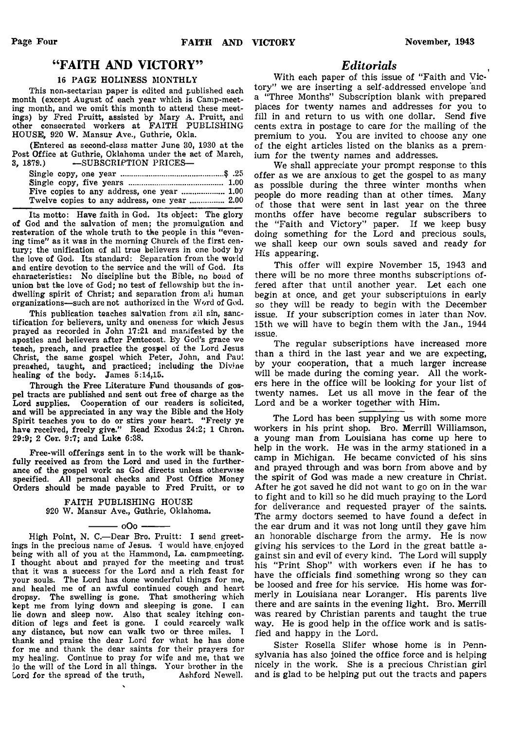## " FAITH AND VICTORY"

#### 16 PAGE HOLINESS MONTHLY

This non-sectarian paper is edited and published each month (except August of each year which is Camp-meeting month, and we omit this month to attend these meetings) by Fred Pruitt, assisted by Mary A. Pruitt, and other consecrated workers at FAITH PUBLISHING HOUSE, 920 W. Mansur Ave., Guthrie, Okla.

(Entered as second-class matter June 30, 1930 at the Post Office at Guthrie, Oklahoma under the act of March,<br>3, 1879.) --SUBSCRIPTION PRICES--SUBSCRIPTION PRICES-

Its motto: Have faith in God. Its object: The glory of God and the salvation of men; the promulgation and resteration of the whole truth to the people in this "evening time" as it was in the morning Church of the first century; the unification of all true believers in one body by the love of God. Its standard: Separation from the world and entire devotion to the service and the will of God. Its characteristics: No discipline but the Bible, no bond of union but the love of God; no test of fellowship but tho indwelling spirit of Christ; and separation from all human organizations—such are not authorized in the Word of God.

This publication teaches salvation from all sin, sanctification for believers, unity and oneness for which Jesus prayed as recorded in John 17:21 and manifested by the apostles and believers after Pentecost. By God's grace we teach, preach, and practice the gospel of the Lord Jesus Christ, the same gospel which Peter, John, and Paul preaehed, taught, and practiced; including the Divine healing of the body. James 5:14,15.

Through the Free Literature Fund thousands of gospel tracts are published and sent out free of charge as the Lord supplies. Cooperation of our readers is solicited, and will be appreciated in any way the Bible and the Holy Spirit teaches you to do or stirs your heart. " Freely ye have received, freely give." Read Exodus 24:2; 1 Chron. 29:9; 2 Cor. 9:7; and Luke 6:38.

Free-will offerings sent in to the work will be thankfully received as from the Lord and used in the furtherance of the gospel work as God directs unless otherwise specified. All personal checks and Post Office Money Orders should be made payable to Fred Pruitt, or to

> FAITH PUBLISHING HOUSE 920 W. Mansur Ave., Guthrie, Oklahoma.

> > - 000 -

High Point, N. C.-Dear Bro. Pruitt: I send greetings in the precious name of Jesus. 'I would have enjoyed being with all of you at the Hammond, La. campmeeting. I thought about and prayed for the meeting and trust that it was a success for the Lord and a rich feast for your souls. The Lord has done wonderful things for me, and healed me of an awful continued cough and heart dropsy. The swelling is gone. That smothering which kept me from lying down and sleeping is gone. I can lie down and sleep now. Also that scaley itching condition of legs and feet is gone. I could scarcely walk any distance, but now can walk two or three miles. I thank and praise the dear Lord for what he has done for me and thank the dear saints for their prayers for my healing. Continue to pray for wife and me, that we io the will of the Lord in all things. Your brother in the Lord for the spread of the truth, Ashford Newell.

## *Editorials*

With each paper of this issue of "Faith and Victory" we are inserting a self-addressed envelope and a "Three Months" Subscription blank with prepared places for twenty names and addresses for you to fill in and return to us with one dollar. Send five cents extra in postage to care for the mailing of the premium to you. You are invited to choose any one of the eight articles listed on the blanks as a premium for the twenty names and addresses.

We shall appreciate your prompt response to this offer as we are anxious to get the gospel to as many as possible during the three winter months when people do more reading than at other times. Many of those that were sent in last year on the three months offer have become regular subscribers to the "Faith and Victory" paper. If we keep busy doing something for the Lord and precious souls, we shall keep our own souls saved and ready for His appearing.

This offer will expire November 15, 1943 and there will be no more three months subscriptions offered after that until another year. Let each one begin at once, and get your subscriptuions in early so they will be ready to begin with the December issue. If your subscription comes in later than Nov. 15th we will have to begin them with the Jan., 1944 issue.

The regular subscriptions have increased more than a third in the last year and we are expecting, by your cooperation, that a much larger increase will be made during the coming year. All the workers here in the office will be looking for your list of twenty names. Let us all move in the fear of the Lord and be a worker together with Him.

The Lord has been supplying us with some more workers in his print shop. Bro. Merrill Williamson, a young man from Louisiana has come up here to help in the work. He was in the army stationed in a camp in Michigan. He became convicted of his sins and prayed through and was born from above and by the spirit of God was made a new creature in Christ. After he got saved he did not want to go on in the war to fight and to kill so he did much praying to the Lord for deliverance and requested prayer of the saints. The army doctors seemed to have found a defect in the ear drum and it was not long until they gave him an honorable discharge from the army. He is now giving his services to the Lord in the great battle against sin and evil of every kind. The Lord will supply his " Print Shop" with workers even if he has to have the officials find something wrong so they can be loosed and free for his service. His home was formerly in Louisiana near Loranger. His parents live there and are saints in the evening light. Bro. Merrill was reared by Christian parents and taught the true way. He is good help in the office work and is satisfied and happy in the Lord.

Sister Rosella Slifer whose home is in Pennsylvania has also joined the office force and is helping nicely in the work. She is a precious Christian girl and is glad to be helping put out the tracts and papers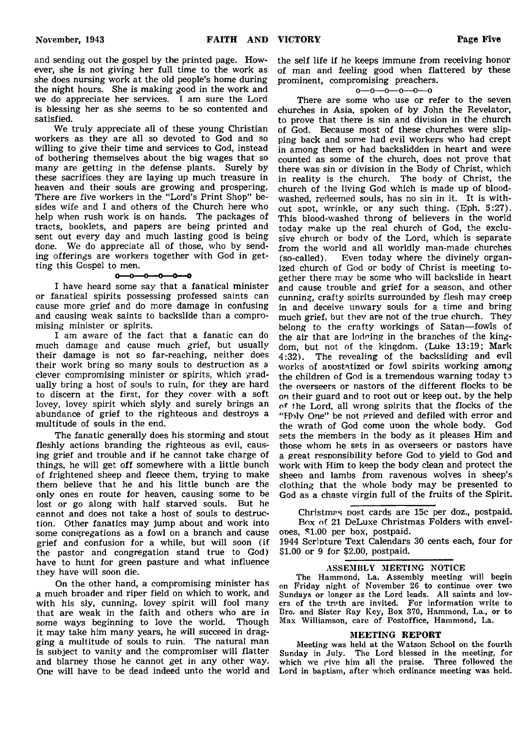and sending out the gospel by the printed page. However, she is not giving her full time to the work as she does nursing work at the old people's home during the night hours. She is making good in the work and we do appreciate her services. I am sure the Lord is blessing her as she seems to be so contented and satisfied.

We truly appreciate all of these young Christian workers as they are all so devoted to God and so willing to give their time and services to God, instead of bothering themselves about the big wages that so many are getting in the defense plants. Surely by these sacrifices they are laying up much treasure in heaven and their souls are growing and prospering. There are five workers in the "Lord's Print Shop" besides wife and I and others of the Church here who help when rush work is on hands. The packages of tracts, booklets, and papers are being printed and sent out every day and much lasting good is being done. We do appreciate all of those, who by sending offerings are workers together with God in getting this Gospel to men.

#### $-\theta$ J. ᢒ--0- $\sim$

I have heard some say that a fanatical minister or fanatical spirits possessing professed saints can cause more grief and do more damage in confusing and causing weak saints to backslide than a compromising minister or spirits.

I am aware of the fact that a fanatic can do much damage and cause much grief, but usually their damage is not so far-reaching, neither does their work bring so many souls to destruction as *a* clever compromising minister or spirits, which gradually bring a host of souls to ruin, for they are hard to discern at the first, for they cover with a soft lovey, lovey spirit which slyly and surely brings an abundance of grief to the righteous and destroys a multitude of souls in the end.

The fanatic generally does his storming and stout fleshly actions branding the righteous as evil, causing grief and trouble and if he cannot take charge of things, he will get off somewhere with a little bunch of frightened sheep and fleece them, trying to make them believe that he and his little bunch are the only ones en route for heaven, causing some to be lost or go along with half starved souls. But he cannot and does not take a host of souls to destruction. Other fanatics may jump about and work into some congregations as a fowl on a branch and cause grief and confusion for a while, but will soon (if the pastor and congregation stand true to God) have to hunt for green pasture and what influence they have will soon die.

On the other hand, a compromising minister has a much broader and riper field on which to work, and with his sly, cunning, lovey spirit will fool many that are weak in the faith and others who are in some ways beginning to love the world. Though some ways beginning to love the world. it may take him many years, he will succeed in dragging a multitude of souls to ruin. The natural man is subject to vanity and the compromiser will flatter and blarney those he cannot get in any other way. One will have to be dead indeed unto the world and

the self life if he keeps immune from receiving honor of man and feeling good when flattered by these prominent, compromising preachers.

#### $0 - 0 - 0 - 0 - 0 - 0$

There are some who use or refer to the seven churches in Asia, spoken of by John the Revelator, to prove that there is sin and division in the church of God. Because most of these churches were slipping back and some had evil workers who had crept in among them or had backslidden in heart and were counted as some of the church, does not prove that there was sin or division in the Body of Christ, which in reality is the church. The body of Christ, the church of the living God which is made up of bloodwashed, redeemed souls, has no sin in it. It is without spot, wrinkle, or any such thing. (Eph. 5:27). This blood-washed throng of believers in the world today make up the real church of God, the exclusive church or body of the Lord, which is separate from the world and all worldly man-made churches (so-called). Even today where the divinely organized church of God or body of Christ is meeting together there may be some who will backslide in heart and cause trouble and grief for a season, and other cunning, crafty spirits surrounded by flesh may creep in and deceive unwary souls for a time and bring much grief, but thev are not of the true church. They belong to the crafty workings of Satan—fowls of the air that are lodging in the branches of the kingdom, but not of the kingdom. (Luke 13:19; Mark 4:32). The revealing of the backsliding and evil works of anostatized or fowl spirits working among the children of God is a tremendous warning today to the overseers or pastors of the different flocks to be on their guard and to root out or keep out. by the help of the Lord, all wrong spirits that the flocks of the "Hblv One" be not grieved and defiled with error and the wrath of God come uoon the whole body. God sets the members in the body as it pleases Him and those whom he sets in as overseers or pastors have a great responsibility before God to yield to God and work with Him to keep the body clean and protect the sheep and lambs from ravenous wolves in sheep's clothing that the whole body may be presented to God as a chaste virgin full of the fruits of the Spirit.

Christmas post cards are 15c per doz., postpaid. Box of 21 DeLuxe Christmas Folders with envelopes, S1.00 per box, postpaid.

1944 Scripture Text Calendars 30 cents each, four for \$1.00 or 9 for \$2.00, postpaid.

## ASSEMBLY MEETING NOTICE

The Hammond, La. Assembly meeting will begin on Friday night of November 26 to continue over two Sundays or longer as the Lord leads. All saints and lovers of the truth are invited. For information write to Bro. and Sister Ray Key, Box 370, Hammond, La., or to Max Williamson, care of Postoffice, Hammond, La.

#### **MEETING REPORT**

Meeting was held at the Watson School on the fourth Sunday in July. The Lord blessed in the meeting, for which we give him all the praise. Three followed the Lord in baptism, after which ordinance meeting was held.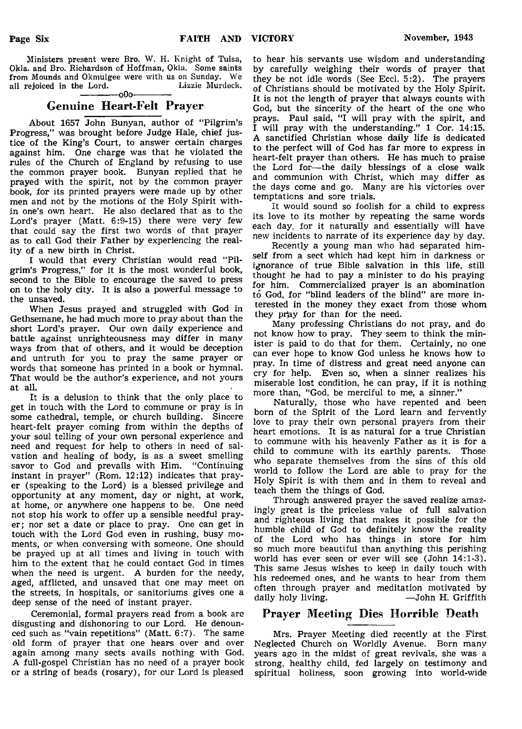Ministers present were Bro. W. H. Knight of Tulsa, Okla. and Bro. Richardson of Hoffman, Okla. Some saints from Mounds and Okmulgee were with us on Sunday. We all rejoiced in the Lord. Lizzie Murdock. all rejoiced in the Lord.  $-000-$ 

## Genuine Heart-Felt Prayer

About 1657 John Bunyan, author of "Pilgrim's Progress," was brought before Judge Hale, chief justice of the King's Court, to answer certain charges against him. One charge was that he violated the rules of the Church of England by refusing to use the common prayer book. Bunyan replied that he prayed with the spirit, not by the common prayer book, for its printed prayers were made up by other men and not by the motions of the Holy Spirit within one's own heart. He also declared that as to the Lord's prayer (Matt. 6:9-15) there were very few that could say the first two words of that prayer as to call God their Father by experiencing the reality of a new birth in Christ.

I would that every Christian would read "Pilgrim's Progress," for it is the most wonderful book, second to the Bible to encourage the saved to press on to the holy city. It is also a powerful message to the unsaved.

When Jesus prayed and struggled with God in Gethsemane, he had much more to pray about than the short Lord's prayer. Our own daily experience and battle against unrighteousness may differ in many ways from that of others, and it would be deception and untruth for you to pray the same prayer or words that someone has printed in a book or hymnal. That would be the author's experience, and not yours at all.

It is a delusion to think that the only place to get in touch with the Lord to commune or pray is in some cathedral, temple, or church building. Sincere heart-felt prayer coming from within the depths of your soul telling of your own personal experience and need and request for help to others in need of salvation and healing of body, is as a sweet smelling savor to God and prevails with Him. "Continuing instant in prayer" (Rom. 12:12) indicates that prayer (speaking to the Lord) is a blessed privilege and opportunity at any moment, day or night, at work, at home, or anywhere one happens to be. One need not stop his work to offer up a sensible needful prayer; nor set a date or place to pray. One can get in touch with the Lord God even in rushing, busy moments, or when conversing with someone. One should be prayed up at all times and living in touch with him to the extent that he could contact God in times when the need is urgent. A burden for the needy, aged, afflicted, and unsaved that one may meet on the streets, in hospitals, or sanitoriums gives one a deep sense of the need of instant prayer.

Ceremonial, formal prayers read from a book are disgusting and dishonoring to our Lord. He denounced such as "vain repetitions" (Matt. 6:7). The same old form of prayer that one hears over and over again among many sects avails nothing with God. A full-gospel Christian has no need of a prayer book or a string of beads (rosary), for our Lord is pleased

to hear his servants use wisdom and understanding by carefully weighing their words of prayer that they be not idle words (See Eccl. 5:2). The prayers of Christians should be motivated by the Holy Spirit. It is not the length of prayer that always counts with God, but the sincerity of the heart of the one who prays. Paul said, "I will pray with the spirit, and I will pray with the understanding." 1 Cor. 14:15. A sanctified Christian whose daily life is dedicated to the perfect will of God has far more to express in heart-felt prayer than others. He has much to praise the Lord for— the daily blessings of a close walk and communion with Christ, which may differ as the days come and go. Many are his victories over temptations and sore trials.

It would sound so foolish for a child to express its love to its mother by repeating the same words each day, for it naturally and essentially will have new incidents to narrate of its experience day by day.

Recently a young man who had separated himself from a sect which had kept him in darkness or ignorance of true Bible salvation in this life, still thought he had to pay a minister to do his praying for him. Commercialized prayer is an abomination to God, for "blind leaders of the blind" are more interested in the money they exact from those whom they pray for than for the need.

Many professing Christians do not pray, and do not know how to pray. They seem to think the minister is paid to do that for them. Certainly, no one can ever hope to know God unless he knows how to pray. In time of distress and great need anyone can cry for help. Even so, when a sinner realizes his miserable lost condition, he can pray, if it is nothing more than, "God, be merciful to me, a sinner."

Naturally, those who have repented and been born of the Spirit of the Lord learn and fervently love to pray their own personal prayers from their heart emotions. It is as natural for a true Christian to commune with his heavenly Father as it is for a child to commune with its earthly parents. Those who separate themselves from the sins of this old world to follow the Lord are able to pray for the Holy Spirit is with them and in them to reveal and teach them the things of God.

Through answered prayer the saved realize amazingly great is the priceless value of full salvation and righteous living that makes it possible for the humble child of God to definitely know the reality of the Lord who has things in store for him so much more beautiful than anything this perishing world has ever seen or ever will see (John 14:1-3). This same Jesus wishes to keep in daily touch with his redeemed ones, and he wants to hear from them often through prayer and meditation motivated by daily holy living. — John H. Griffith

## Prayer Meeting Dies Horrible Death

Mrs. Prayer Meeting died recently at the First Neglected Church on Worldly Avenue. Born many years ago in the midst of great revivals, she was a strong, healthy child, fed largely on testimony and spiritual holiness, soon growing into world-wide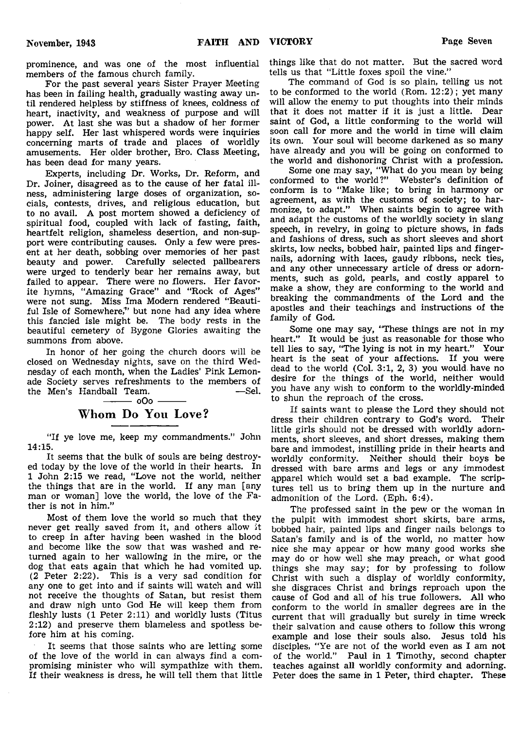prominence, and was one of the most influential members of the famous church family.

For the past several years Sister Prayer Meeting has been in failing health, gradually wasting away until rendered helpless by stiffness of knees, coldness of heart, inactivity, and weakness of purpose and will power. At last she was but a shadow of her former happy self. Her last whispered words were inquiries concerning marts of trade and places of worldly amusements. Her older brother, Bro. Class Meeting, has been dead for many years.

Experts, including Dr. Works, Dr. Reform, and Dr. Joiner, disagreed as to the cause of her fatal illness, administering large doses of organization, socials, contests, drives, and religious education, but to no avail. A post mortem showed a deficiency of spiritual food, coupled with lack of fasting, faith, heartfelt religion, shameless desertion, and non-support were contributing causes. Only a few were present at her death, sobbing over memories of her past beauty and power. Carefully selected pallbearers were urged to tenderly bear her remains away, but failed to appear. There were no flowers. Her favorite hymns, "Amazing Grace" and "Rock of Ages" were not sung. Miss Ima Modern rendered "Beautiful Isle of Somewhere," but none had any idea where this fancied isle might be. The body rests in the beautiful cemetery of Bygone Glories awaiting the summons from above.

In honor of her going the church doors will be closed on Wednesday nights, save on the third Wednesday of each month, when the Ladies' Pink Lemonade Society serves refreshments to the members of the Men's Handball Team.  $-$  0O0  $-$ 

## Whom Do You Love?

"If ye love me, keep my commandments." John 14:15.

It seems that the bulk of souls are being destroyed today by the love of the world in their hearts. In 1 John 2:15 we read, "Love not the world, neither the things that are in the world. If any man [any man or woman] love the world, the love of the Father is not in him."

Most of them love the world so much that they never get really saved from it, and others allow it to creep in after having been washed in the blood and become like the sow that was washed and returned again to her wallowing in the mire, or the dog that eats again that which he had vomited up. (2 Peter 2:22). This is a very sad condition for any one to get into and if saints will watch and will not receive the thoughts of Satan, but resist them and draw nigh unto God He will keep them from fleshly lusts (1 Peter 2:11) and worldly lusts (Titus 2:12) and preserve them blameless and spotless before him at his coming.

It seems that those saints who are letting some of the love of the world in can always find a compromising minister who will sympathize with them. If their weakness is dress, he will tell them that little

things like that do not matter. But the sacred word tells us that "Little foxes spoil the vine."

The command of God is so plain, telling us not to be conformed to the world  $(Rom, 12:2)$ ; yet many will allow the enemy to put thoughts into their minds that it does not matter if it is just a little. Dear saint of God, a little conforming to the world will soon call for more and the world in time will claim its own. Your soul will become darkened as so many have already and you will be going on conformed to the world and dishonoring Christ with a profession.

Some one may say, "What do you mean by being conformed to the world?" Webster's definition of conform is to "Make like; to bring in harmony or agreement, as with the customs of society; to harmonize, to adapt." When saints begin to agree with and adapt the customs of the worldly society in slang speech, in revelry, in going to picture shows, in fads and fashions of dress, such as short sleeves and short skirts, low necks, bobbed hair, painted lips and fingernails, adorning with laces, gaudy ribbons, neck ties, and any other unnecessary article of dress or adornments, such as gold, pearls, and costly apparel to make a show, they are conforming to the world and breaking the commandments of the Lord and the apostles and their teachings and instructions of the family of God.

Some one may say, "These things are not in my heart." It would be just as reasonable for those who tell lies to say, "The lying is not in my heart." Your heart is the seat of your affections. If you were dead to the world (Col. 3:1, 2, 3) you would have no desire for the things of the world, neither would you have any wish to conform to the worldly-minded to shun the reproach of the cross.

If saints want to please the Lord they should not dress their children contrary to God's word. Their little girls should not be dressed with worldly adornments, short sleeves, and short dresses, making them bare and immodest, instilling pride in their hearts and worldly conformity. Neither should their boys be dressed with bare arms and legs or any immodest qpparel which would set a bad example. The scriptures tell us to bring them up in the nurture and admonition of the Lord. (Eph. 6:4).

The professed saint in the pew or the woman in the pulpit with immodest short skirts, bare arms, bobbed hair, painted lips and finger nails belongs to Satan's family and is of the world, no matter how nice she may appear or how many good works she may do or how well she may preach, or what good things she may say; for by professing to follow Christ with such a display of worldly conformity, she disgraces Christ and brings reproach upon the cause of God and all of his true followers. All who conform to the world in smaller degrees are in the current that will gradually but surely in time wreck their salvation and cause others to follow this wrong example and lose their souls also. Jesus told his disciples, "Ye are not of the world even as I am not of the world." Paul in 1 Timothy, second chapter teaches against all worldly conformity and adorning. Peter does the same in 1 Peter, third chapter. These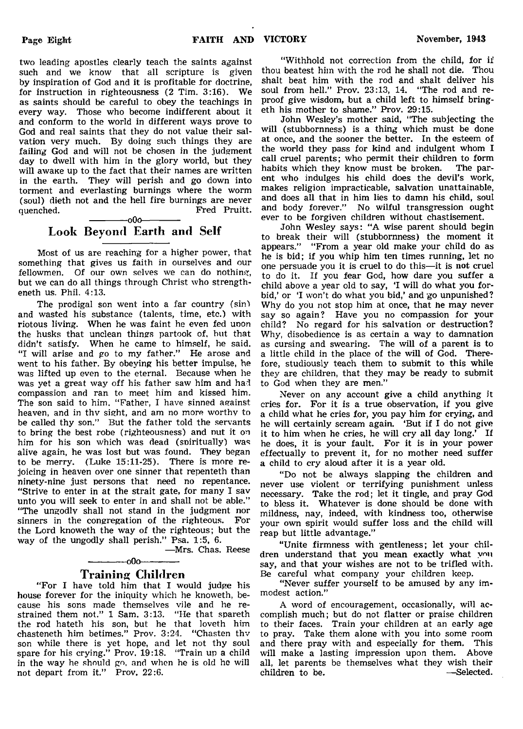two leading apostles clearly teach the saints against such and we know that all scripture is given by inspiration of God and it is profitable for doctrine, for instruction in righteousness (2 Tim. 3:16). We as saints should be careful to obey the teachings in every way. Those who become indifferent about it and conform to the world in different ways prove to God and real saints that they do not value their salvation very much. By doing such things they are failing God and will not be chosen in the judgment day to dwell with him in the glory world, but they will awake up to the fact that their names are written in the earth. They will perish and go down into torment and everlasting burnings where the worm (soul) dieth not and the hell fire burnings are never quenched. Fred Pruitt.  $-000$ 

## Look Beyond Earth and Self

Most of us are reaching for a higher power, that something that gives us faith in ourselves and our fellowmen. Of our own selves we can do nothing, but we can do all things through Christ who strengtheneth us. Phil. 4:13.

The prodigal son went into a far country (sin) and wasted his substance (talents, time, etc.) with riotous living. When he was faint he even fed unon the husks that unclean things partook of, but that didn't satisfy. When he came to himself, he said. "I will arise and go to my father." He arose and went to his father. By obeying his better impulse, he was lifted up even to the eternal. Because when he was yet a great way off his father saw him and had compassion and ran to meet him and kissed him. The son said to him. "Father, I have sinned against heaven, and in thv sight, and am no more worthy to be called thy son." But the father told the servants to bring the best robe (righteousness) and nut it on him for his son which was dead (spiritually) was alive again, he was lost but was found. They began to be merry. (Luke 15:11-25). There is more rejoicing in heaven over one sinner that repenteth than ninety-nine just persons that need no repentance. "Strive to enter in at the strait gate, for many I sav unto you will seek to enter in and shall not be able." "The ungodlv shall not stand in the judgment nor sinners in the congregation of the righteous. For the Lord knoweth the way of the righteous; but the way of the ungodly shall perish." Psa. 1:5, 6.

—Mrs. Chas. Reese

## ------------- oOo------------- Training Children

"For I have told him that I would judge his house forever for the iniquity which he knoweth, because his sons made themselves vile and he restrained them not." 1 Sam. 3:13. "He that spareth the rod hateth his son, but he that loveth him chasteneth him betimes." Prov. 3:24. "Chasten thv son while there is yet hope, and let not thy soul spare for his crying." Prov. 19:18. "Train up a child in the way he should go, and when he is old he will not depart from it." Prov. 22:6.

" Withhold not correction from the child, for if thou beatest him with the rod he shall not die. Thou shalt beat him with the rod and shalt deliver his soul from hell." Prov. 23:13, 14. "The rod and reproof give wisdom, but a child left to himself bringeth his mother to shame." Prov. 29:15.

John Wesley's mother said, "The subjecting the will (stubbornness) is a thing which must be done at once, and the sooner the better. In the esteem of the world they pass for kind and indulgent whom I call cruel parents; who permit their children to form<br>habits which they know must be broken. The parhabits which they know must be broken. ent who indulges his child does the devil's work, makes religion impracticable, salvation unattainable, and does all that in him lies to damn his child, soul and body forever." No wilful transgression ought ever to be forgiven children without chastisement.

John Wesley says: "A wise parent should begin to break their will (stubbornness) the moment it appears." "From a year old make your child do as he is bid; if you whip him ten times running, let no one persuade you it is cruel to do this—it is not cruel to do it. If you fear God, how dare you suffer a child above a year old to say, 'I will do what you forbid,' or 'I won't do what you bid,' and go unpunished? Why do you not stop him at once, that he may never say so again? Have you no compassion for your child? No regard for his salvation or destruction? Why, disobedience is as certain a way to damnation as cursing and swearing. The will of a parent is to a little child in the place of the will of God. Therefore, studiously teach them to submit to this while they are children, that they may be ready to submit to God when they are men."

Never on any account give a child anything it cries for. For it is a true observation, if you give a child what he cries for, you pay him for crying, and he will certainly scream again. 'But if I do not give it to him when he cries, he will cry all day long.' If he does, it is your fault. For it is in your power effectually to prevent it, for no mother need suffer a child to cry aloud after it is a year old.

" Do not be always slapping the children and never use violent or terrifying punishment unless necessary. Take the rod; let it tingle, and pray God to bless it. Whatever is done should be done with mildness, nay, indeed, with kindness too, otherwise your own spirit would suffer loss and the child will reap but little advantage."

"Unite firmness with gentleness; let your children understand that you mean exactly what vnu say, and that your wishes are not to be trifled with. Be careful what company your children keep.

"Never suffer yourself to be amused by any immodest action."

A word of encouragement, occasionally, will accomplish much; but do not flatter or praise children to their faces. Train your children at an early age to pray. Take them alone with you into some room and there pray with and especially for them. This will make a lasting impression upon them. Above all, let parents be themselves what they wish their children to be.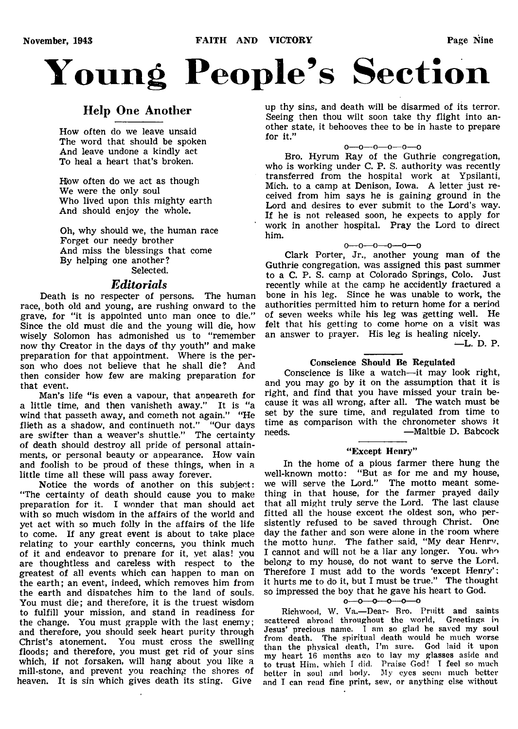# **Young People's Section**

## Help One Another

How often do we leave unsaid The word that should be spoken And leave undone a kindly act To heal a heart that's broken.

How often do we act as though We were the only soul Who lived upon this mighty earth And should enjoy the whole.

Oh, why should we, the human race Forget our needy brother And miss the blessings that come By helping one another? Selected.

## *Editorials*

Death is no respecter of persons. The human race, both old and young, are rushing onward to the grave, for "it is appointed unto man once to die." Since the old must die and the young will die, how wisely Solomon has admonished us to "remember now thy Creator in the days of thy youth" and make preparation for that appointment. Where is the person who does not believe that he shall die? And then consider how few are making preparation for that event.

Man's life "is even a vapour, that anpeareth for a little time, and then vanisheth away." It is "a wind that passeth away, and cometh not again." "He flieth as a shadow, and continueth not." "Our days are swifter than a weaver's shuttle." The certainty of death should destroy all pride of personal attainments, or personal beauty or appearance. How vain and foolish to be proud of these things, when in a little time all these will pass away forever.

Notice the words of another on this subject: "The certainty of death should cause you to make preparation for it. I wonder that man should act with so much wisdom in the affairs of the world and yet act with so much folly in the affairs of the life to come. If any great event is about to take place relating to your earthly concerns, you think much of it and endeavor to prepare for it, yet alas! you are thoughtless and careless with respect to the greatest of all events which can happen to man on the earth; an event, indeed, which removes him from the earth and dispatches him to the land of souls. You must die; and therefore, it is the truest wisdom to fulfill your mission, and stand in readiness for the change. You must grapple with the last enemy; and therefore, you should seek heart purity through Christ's atonement. You must cross the swelling floods; and therefore, you must get rid of your sins which, if not forsaken, will hang about you like a mill-stone, and prevent you reaching the shores of heaven. It is sin which gives death its sting. Give

up thy sins, and death will be disarmed of its terror. Seeing then thou wilt soon take thy flight into another state, it behooves thee to be in haste to prepare for it."

#### O—O---O---O—O—0

Bro. Hyrum Ray of the Guthrie congregation, who is working under C. P. S. authority was recently transferred from the hospital work at Ypsilanti, Mich, to a camp at Denison, Iowa. A letter just received from him says he is gaining ground in the Lord and desires to ever submit to the Lord's way. If he is not released soon, he expects to apply for work in another hospital. Pray the Lord to direct him.

#### $0 - 0 - 0 - 0 - 0 - 0$

Clark Porter, Jr., another young man of the Guthrie congregation, was assigned this past summer to a C. P. S. camp at Colorado Springs, Colo. Just recently while at the camp he accidently fractured a bone in his leg. Since he was unable to work, the authorities permitted him to return home for a period of seven weeks while his leg was getting well. He felt that his getting to come home on a visit was an answer to prayer. His leg is healing nicely.

-—L. D. P.

## Conscience Should Be Regulated

Conscience is like a watch— it may look right, and you may go by it on the assumption that it is right, and find that you have missed your train because it was all wrong, after all. The watch must be set by the sure time, and regulated from time to time as comparison with the chronometer shows it needs. The interval of the maltbie D. Babcock

#### "Except Henry"

In the home of a pious farmer there hung the well-known motto: "But as for me and my house, we will serve the Lord." The motto meant something in that house, for the farmer prayed daily that all might truly serve the Lord. The last clause fitted all the house except the oldest son, who persistently refused to be saved through Christ. One day the father and son were alone in the room where the motto hung. The father said, "My dear Henrv, I cannot and will not be a liar any longer. You. who belong to my house, do not want to serve the Lord. Therefore I must add to the words 'except Henry' : it hurts me to do it, but I must be true." The thought so impressed the boy that he gave his heart to God.

## $0 - 0 - 0 - 0 - 0$

Richwood, W. Va.—Dear- Bro. Pruitt and saints scattered abroad throughout the world, Greetings in Jesus' precious name. I am so glad he saved my soul from death. The spiritual death would he much worse than the physical death, I'm sure. God laid it upon my heart 16 months ago to lay my glasses aside and to trust Him, which I did. Praise God! I feel so much better in soul and body. My eyes seem much better and I can read fine print, sew, or anything else without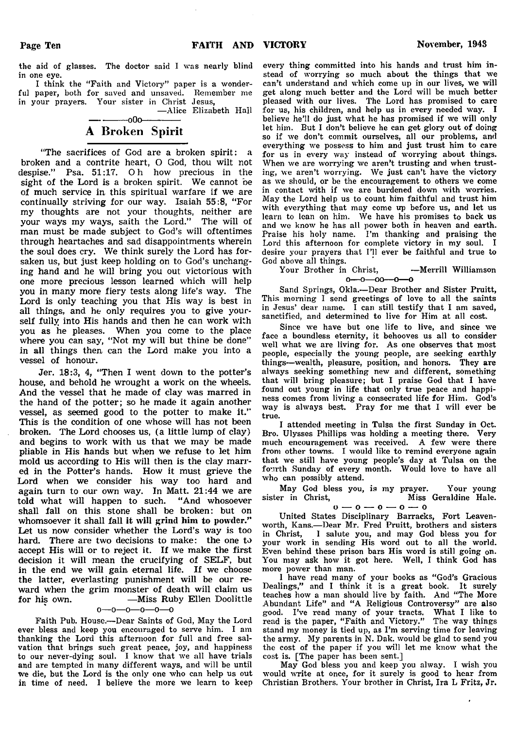the aid of glasses. The doctor said I was nearly blind in one eye.

I think the "Faith and Victory" paper is a wonderful paper, both for saved and unsaved. Remember me in your prayers. Your sister in Christ Jesus,

—Alice Elizabeth Hall

## $-000-$ A Broken Spirit

"The sacrifices of God are a broken spirit: a broken and a contrite heart, O God, thou wilt not despise." Psa. 51:17. Oh how precious in the sight of the Lord is a broken spirit. We cannot be of much service in this spiritual warfare if we are continually striving for our way. Isaiah 55:8, "For my thoughts are not your thoughts, neither are your ways my ways, saith the Lord." The will of man must be made subject to God's will oftentimes through heartaches and sad disappointments wherein the soul does cry. We think surely the Lord has forsaken us, but just keep holding on to God's unchanging hand and he will bring you out victorious with one more precious lesson learned which will help you in many more fiery tests along life's way. The Lord is only teaching you that His way is best in all things, and he only requires you to give yourself fully into His hands and then he can work with you as he pleases. When you come to the place where you can say, "Not my will but thine be done" in all things then can the Lord make you into a vessel of honour.

Jer. 18:3, 4, "Then I went down to the potter's house, and behold he wrought a work on the wheels. And the vessel that he made of clay was marred in the hand of the potter; so he made it again another vessel, as seemed good to the potter to make it." This is the condition of one whose will has not been broken. The Lord chooses us, (a little lump of clay) and begins to work with us that we may be made pliable in His hands but when we refuse to let him mold us according to His will then is the clay marred in the Potter's hands. How it must grieve the Lord when we consider his way too hard and again turn to our own way. In Matt. 21:44 we are told what will happen to such. "And whosoever shall fall on this stone shall be broken: but on whomsoever it shall fall it will grind him to powder." Let us now consider whether the Lord's way is too hard. There are two decisions to make: the one to accept His will or to reject it. If we make the first decision it will mean the crucifying of SELF, but in the end we will gain, eternal life. If we choose the latter, everlasting punishment will be our reward when the grim monster of death will claim us for his own. — Miss Ruby Ellen Doolittle

#### o—o—o—o—o—o

Faith Pub. House.—Dear Saints of God, May the Lord ever bless and keep you encouraged to serve him. I am thanking the Lord this afternoon for full and free salvation that brings such great peace, joy, and happiness to our never-dying soul. I know that we all have trials and are tempted in many different ways, and will be until we die, but the Lord is the only one who can help us out in time of need. I believe the more we learn to keep every thing committed into his hands and trust him instead of worrying so much about the things that we can't understand and which come up in our lives, we will get along much better and the Lord will be much better pleased with our lives. The Lord has promised to care for us, his children, and help us in every needed way. I believe he'll do just what he has promised if we will only let him. But I don't believe he can get glory out of doing so if we don't commit ourselves, all our problems, and everything we possess to him and just trust him to care for us in every way instead of worrying about things. When we are worrying we aren't trusting and when trusting, we aren't worrying. We just can't have the victory as we should, or be the encouragement to others we come in contact with if we are burdened down with worries. May the Lord help us to count him faithful and trust him with everything that may come up before us, and let us learn to lean on him. We have his promises to back us and we know he has all power both in heaven and earth. Praise his holy name. I'm thanking and praising the Lord this afternoon for complete victory in my soul. I desire your prayers that I'll ever be faithful and true to God above all things.

Your Brother in Christ, -Merrill Williamson  $0 - 0 - 00 - 0 - 0$ 

Sand Springs, Okla.— Dear Brother and Sister Pruitt, This morning I send greetings of love to all the saints in Jesus' dear name. I can still testify that I am saved, sanctified, and determined to live for Him at all cost.

Since we have but one life to live, and since we face a boundless eternity, it behooves us all to consider well what we are living for. As one observes that most people, especially the young people, are seeking earthly things—wealth, pleasure, position, and honors. They are always seeking something new and different, something that will bring pleasure; but I praise God that I have found out young in life that only true peace and happiness comes from living a consecrated life for Him. God's way is always best. Pray for me that I will ever be true.

I attended meeting in Tulsa the first Sunday in Oct. Bro. Ulysses Phillips was holding a meeting there. Very much encouragement was received. A few were there from other towns. I would like to remind everyone again that we still have young people's day at Tulsa on the fourth Sunday of every month. Would love to have all who can possibly attend.

May God bless you, is my prayer. Your young<br>sister in Christ, Miss Geraldine Hale. Miss Geraldine Hale.

$$
0\rightarrow 0\rightarrow 0\rightarrow 0\rightarrow 0
$$

United States Disciplinary Barracks, Fort Leavenworth, Kans.—Dear Mr. Fred Pruitt, brothers and sisters in Christ, I salute you, and may God bless you for your work in sending His word out to all the world. Even behind these prison bars His word is still going on. You may ask how it got here. Well, I think God has more power than man.

I have read many of your books as "God's Gracious Dealings," and I think it is a great book. It surely teaches how a man should live by faith. And "The More Abundant Life" and "A Religious Controversy" are also good. I've read many of your tracts. What I like to read is the paper, "Faith and Victory." The way things stand my money is tied up, as I'm serving time for leaving the army. My parents in N. Dak. would be glad to send you the cost of the paper if you will let me know what the cost is. [The paper has been sent.]

May God bless you and keep you alway. I wish you would write at once, for it surely is good to hear from Christian Brothers. Your brother in Christ, Ira L Fritz, Jr.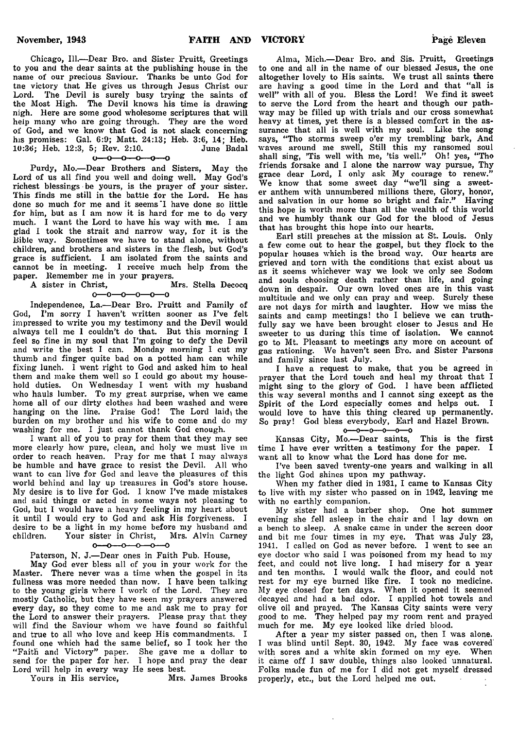Chicago, 111.—Dear Bro. and Sister Pruitt, Greetings to you and the dear saints at the publishing house in the name of our precious Saviour. Thanks be unto God for tne victory that He gives us through Jesus Christ our Lord. The Devil is surely busy trying the saints of the Most High. The Devil knows his time is drawing nigh. Here are some good wholesome scriptures that will help many who are going through. They are the word of God, and we know that God is not slack concerning his promises: Gal. 6:9; Matt. 24:13; Heb. 3:6, 14; Heb. 10:36; Heb. 12:3, 5; Rev. 2:10.

 $0 - 0 - 0 - 0 - 0$ 

Purdy, Mo.—Dear Brothers and Sisters, May the Lord of us all find you well and doing well. May God's richest blessings • be yours, is the prayer of your sister. This finds me still in the battle for the Lord. He has done so much for me and it seems I have done so little for him, but as I am now it is hard for me to do very much. I want the Lord to have his way with me. I am glad I took the strait and narrow way, for it is the Bible way. Sometimes we have to stand alone, without children, and brothers and sisters in the flesh, but God's grace is sufficient. I am isolated from the saints and cannot be in meeting. I receive much help from the paper. Remember me in your prayers.<br>A sister in Christ. Mrs. Stella Decocq

A sister in Christ.  $0 - 0 - 0 - 0 - 0$ 

Independence, La.—Dear Bro. Pruitt and Family of God, I'm sorry I haven't written sooner as I've felt impressed to write you my testimony and the Devil would always tell me I couldn't do that. But this morning I feel so fine in my soul that I'm going to defy the Devil and write the best I can. Monday morning I cut my thumb and finger quite bad on a potted ham can while fixing lunch. I went right to God and asked him to heal them and make them well so I could go about my household duties. On Wednesday I went with my husband who hauls lumber. To my great surprise, when we came home all of our dirty clothes had been washed and were hanging on the line. Praise God! The Lord laid, the burden on my brother and his wife to come and do my washing for me. I just cannot thank God enough.

I want all of you to pray for them that they may see more clearly how pure, clean, and holy we must live m order to reach heaven. Pray for me that I may always be humble and have grace to resist the Devil. All who want to can live for God and leave the pleasures of this world behind and lay up treasures in God's store house. My desire is to live for God. I know I've made mistakes and said things or acted in some ways not pleasing to God, but I would have a heavy feeling in my heart about it until I would cry to God and ask His forgiveness. I desire to be a light in my home before my husband and children. Your sister in Christ. Mrs. Alvin Carney Your sister in Christ, Mrs. Alvin Carney<br> $0$ -0-0-0-0-0  $\overline{a}$ 

## Paterson, N. J.—Dear ones in Faith Pub. House,

May God ever bless all of you in your work for the Master. There never was a time when the gospel in its fullness was more needed than now. I have been talking to the young girls where I work of the Lord. They are mostly Catholic, but they have seen my prayers answered every day, so they come to me and ask me to pray for the Lord to answer their prayers. Please pray that they will find the Saviour whom we have found so faithful and true to all who love and keep His commandments. I found one which had the same belief, so I took her the " Faith and Victory" paper. She gave me a dollar to send for the paper for her. I hope and pray the dear Lord will help in every way He sees best.

Yours in His service, Mrs. James Brooks

Alma, Mich.—Dear Bro. and Sis. Pruitt, Greetings to one and all in the name of our blessed Jesus, the one altogether lovely to His saints. We trust all saints there are having a good time in the Lord and that "all is well" with all of you. Bless the Lord! We find it sweet to serve the Lord from the heart and though our pathway may be filled up with trials and our cross somewhat heavy at times, yet there is a blessed comfort in the assurance that all is well with my soul. Like the song says, " Tho storms sweep o'er my trembling bark, And waves around me swell, Still this my ransomed soul shall sing, 'Tis well with me, 'tis well." Oh! yes, " Tho friends forsake and I alone the narrow way pursue, Thy grace dear Lord, I only ask My courage to renew." We know that some sweet day " we'll sing a sweeter anthem with unnumbered millions there, Glory, honor, and salvation in our home so bright and fair." Having this hope is worth more than all the wealth of this world and we humbly thank our God for the blood of Jesus that has brought this hope into our hearts.

Earl still preaches at the mission at St. Louis. Only a few come out to hear the gospel, but they flock to the popular houses which is the broad way. Our hearts are grieved and torn with the conditions that exist about us as it seems whichever way we look we only see Sodom and souls choosing death rather than life, and going down in despair. Our own loved ones are in this vast multitude and we only can pray and weep. Surely these are not days for mirth and laughter. How we miss the saints and camp meetings! tho I believe we can truthfully say we have been brought closer to Jesus and He sweeter to us during this time of isolation. We cannot go to Mt. Pleasant to meetings any more on account of gas rationing. We haven't seen B'ro. and Sister Parsons and family since last July.

I have a request to make, that you be agreed in prayer that the Lord touch and heal my throat that I might sing to the glory of God. I have been afflicted this way several months and I cannot sing except as the Spirit of the Lord especially comes and helps out. I would love to have this thing cleared up permanently. So pray! God bless everybody, Earl and Hazel Brown.<br> $o \rightarrow o \rightarrow o \rightarrow o$ 

Kansas City, Mo.—Dear saints, This is the first time I have ever written a testimony for the paper. I want all to know what the Lord has done for me.

I've been saved twenty-one years and walking in all the light God shines upon my pathway.

When my father died in 1931, I came to Kansas City to live with my sister who passed on in 1942, leaving me with no earthly companion.

My sister had a barber shop. One hot summer evening she fell asleep in the chair and I lay down on a bench to sleep. A snake came in under the screen door and bit me four times in my eye. That was July 23, 1941. I called on God as never before. I went to see an eye doctor who said I was poisoned from my head to my feet, and could not live long. I had misery for a year and ten months. I would walk the floor, and could not rest for my eye burned like fire. I took no medicine. My eye closed for ten days. When it opened it seemed decayed and had a bad odor. I applied hot towels and olive oil and prayed. The Kansas City saints were very good to me. They helped pay my room rent and prayed much for me. My eye looked like dried blood.

After a year my sister passed on, then I was alone. I was blind until Sept. 30, 1942. My face was covered with sores and a white skin formed on my eye. When it came off I saw double, things also looked unnatural. Folks made fun of me for I did not get myself dressed properly, etc., but the Lord helped me out.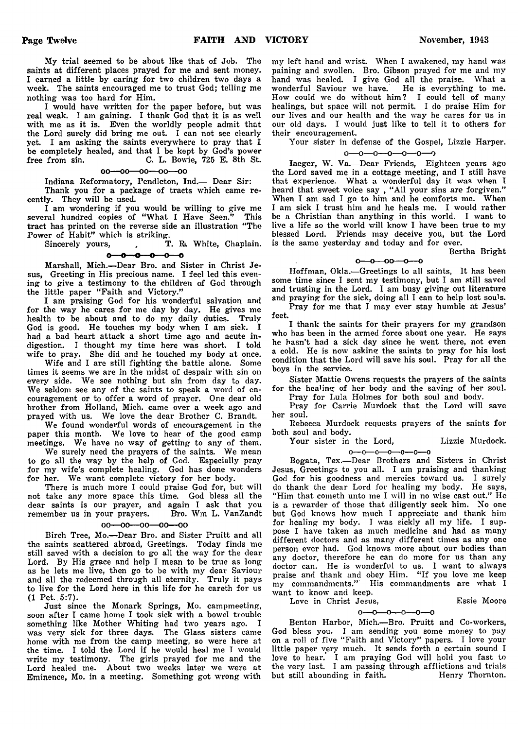My trial seemed to be about like that of Job. The saints at different places prayed for me and sent money. I earned a little by caring for two children two days a week. The saints encouraged me to trust God; telling me nothing was too hard for Him.

I would have written for the paper before, but was real weak. I am gaining. I thank God that it is as well with me as it is. Even the worldly people admit that the Lord surely did bring me out. I can not see clearly yet. I am asking the saints everywhere to pray that I be completely healed, and that I be kept by God's power free from sin. C. L. Bowie, 725 E. 8th St.

oo—oo—oo—oo—oo

Indiana Reformatory, Pendleton, Ind.— Dear Sir:

Thank you for a package of tracts which came recently. They will be used.

I am wondering if you would be willing to give me several hundred copies of "What I Have Seen." This tract has printed on the reverse side an illustration " The Power of Habit" which is striking.<br>Sincerely yours, T

, T. R. White, Chaplain.  $\sim$ ÷ ÷  $o$  -  $o$  -  $o$ 

Marshall, Mich.—Dear Bro. and Sister in Christ Jesus, Greeting in His precious name. I feel led this evening to give a testimony to the children of God through the little paper "Faith and Victory."

I am praising God for his wonderful salvation and for the way he cares for me day by day. He gives me health to be about and to do my daily duties. Truly God is good. He touches my body when I am sick. I had a bad heart attack a short time ago and acute indigestion. I thought my time here was short. I told wife to pray. She did and he touched my body at once.

Wife and I are still fighting the battle alone. Some times it seems we are in the midst of despair with sin on every side. We see nothing but sin from day to day. We seldom see any of the saints to speak a word of encouragement or to offer a word of prayer. One dear old brother from Holland, Mich. came over a week ago and prayed with us. We love the dear Brother C. Brandt.

We found Wonderful words of encouragement in the paper this month. We love to hear of the good camp meetings. We have no way of getting to any of them.

We surely need the prayers of the saints. We mean to go all the way by the help of God. Especially pray for my wife's complete healing. God has done wonders for her. We want complete victory for her body.

There is much more I could praise God for, but will not take any more space this time. God bless all the dear saints is our prayer, and again I ask that you<br>remember us in your prayers. Bro. Wm L. VanZandt remember us in your prayers.

#### $00 - 00 - 00 - 00 - 00$

Birch Tree, Mo.—Dear Bro. and Sister Pruitt and all the saints scattered abroad, Greetings. Today finds me still saved with a decision to go all the way for the dear Lord. By His grace and help I mean to be true as long as he lets me live, then go to be with my dear Saviour and all the redeemed through all eternity. Truly it pays to live for the Lord here in this life for he careth for us (1 Pet. 5:7).

Just since the Monark Springs, Mo. campmeeting, soon after I came home I took sick with a bowel trouble something like Mother Whiting had two years ago. I was very sick for three days. The Glass sisters came home with me from the camp meeting, so were here at the time. I told the Lord if he would heal me I would write my testimony. The girls prayed for me and the Lord healed me. About two weeks later we were at Eminence, Mo. in a meeting. Something got wrong with

my left hand and wrist. When I awakened, my hand was paining and swollen. Bro. Gibson prayed for me and my hand was healed. I give God all the praise. What a wonderful Saviour we have. He is everything to me. How could we do without him? I could tell of many healings, but space will not permit. I do praise Him for our lives and our health and the way he cares for us in our old days. I would just like to tell it to others for their encouragement.

Your sister in defense of the Gospel, Lizzie Harper.

O— O— O— 0— 0 — O— 0

Iaeger, W. Va.—Dear Friends, Eighteen years ago the Lord saved me in a cottage meeting, and I still have that experience. What a wonderful day it was when I heard that sweet voice say , "All your sins are forgiven." When I am sad I go to him and he comforts me. When I am sick I trust him and he heals me. I would rather be a Christian than anything in this world. I want to live a life so the world will know I have been true to my blessed Lord. Friends may deceive you, but the Lord is the same yesterday and today and for ever.

Bertha Bright

 $0 - 0 - 00 - 0 - 0$ 

Hoffman, Okla.—Greetings to all saints, It has been some time since I sent my testimony, but I am still saved and trusting in the Lord. I am busy giving out literature and praying for the sick, doing all I can to help lost souls. Pray for me that I may ever stay humble at Jesus'

feet.

I thank the saints for their prayers for my grandson who has been in the armed force about one year. He says he hasn't had a sick day since he went there, not even a cold. He is now asking the saints to pray for his lost condition that the Lord will save his soul. Pray for all the boys in the service.

Sister Mattie Owens requests the prayers of the saints for the healing of her body and the saving of her soul.

Pray for Lula Holmes for both soul and body. Pray for Carrie Murdock that the Lord will save

her soul. Rebecca Murdock requests prayers of the saints for

both soul and body. Your sister in the Lord, Lizzie Murdock.

o— o— o— o— o— o— o

Bogata, Tex.—Dear Brothers and Sisters in Christ Jesus, Greetings to you all. I am praising and thanking God for his goodness and mercies toward us. I surely do thank the dear Lord for healing my body. He says, "Him that cometh unto me I will in no wise cast out." He is a rewarder of those that diligently seek him. No one but God knows how much I appreciate and thank him for healing my body. I was sickly all my life. I suppose I have taken as much medicine and had as many different doctors and as many different times as any one person ever had. God knows more about our bodies than any doctor, therefore he can do more for us than any doctor can. He is wonderful to us. I want to always praise and thank and obey Him. "If you love me keep my commandments." His commandments are what I want to know and keep.

Love in Christ Jesus, Essie Moore  $0 - 0 - 0 - 0 - 0 - 0$ 

Benton Harbor, Mich.—Bro. Pruitt and Co-workers, God bless you. I am sending you some money to pay on a roll of five "Faith and Victory" papers. I love your little paper very much. It sends forth a certain sound I love to hear. I am praying God will hold you fast to the very last. I am passing through afflictions and trials but still abounding in faith. Henry Thornton.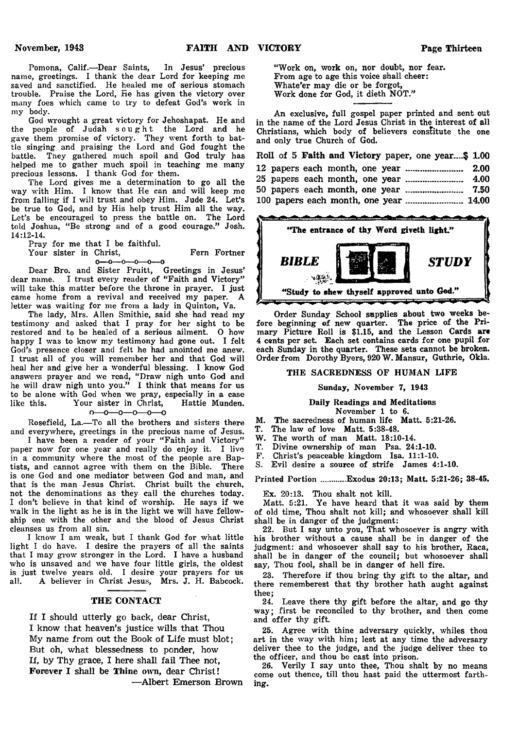Pomona, Calif.—Dear Saints, In Jesus' precious name, greetings. I thank the dear Lord for keeping me saved and sanctified. He healed me of serious stomach trouble. Praise the Lord, He has given the victory over many foes which came to try to defeat God's work in my body.

God wrought a great victory for Jehoshapat. He and the people of Judah sought the Lord and he gave them promise of victory. They went forth to battle singing and praising the Lord and God fought the battle. They gathered much spoil and God truly has helped me to gather much spoil in teaching me many precious lessons. I thank God for them.

The Lord gives me a determination to go all the way with Him. I know that He can and will keep me from falling if I will trust and obey Him. Jude 24. Let's be true to God, and by His help trust Him all the way. Let's be encouraged to press the battle on. The Lord told Joshua, "Be strong and of a good courage." Josh. 14:12-14.

Pray for me that I be faithful.

Your sister in Christ, Fern Fortner

 $0 - 0 - 0 - 0 - 0 - 0$ Dear Bro. and Sister Pruitt, Greetings in Jesus' dear name. I trust every reader of "Faith and Victory" will take this matter before the throne in prayer. I just came home from a revival and received my paper. A letter was waiting for me from a lady in Quinton, Va.

The lady, Mrs. Allen Smithie, said she had read my testimony and asked that I pray for her sight to be restored and to be healed of a serious ailment. 0 how happy I was to know my testimony had gone out. I felt God's presence closer and felt he had anointed me anew. I trust all of you will remember her and that God will heal her and give her a wonderful blessing. I know God answers prayer and we read, " Draw nigh unto God and he will draw nigh unto you." I think that means for us to be alone with God when we pray, especially in a case<br>like this. Your sister in Christ, Hattie Munden. like this. Your sister in Christ,<br> $0-0-0-0-0$ 

Rosefield, La.— To all the brothers and sisters there and everywhere, greetings in the precious name of Jesus.

I have been a reader of your "Faith and Victory" paper now for one year and really do enjoy it. I live in a community where the most of the people are Baptists, and cannot agree with them on the Bible. There is one God and one mediator between God and man, and that is the man Jesus Christ. Christ built the church, not the denominations as they call the churches today. I don't believe in that kind of worship. He says if we walk in the light as he is in the light we will have fellowship one with the other and the blood of Jesus Christ cleanses us from all sin.

I know I am weak, but I thank God for what little light I do have. I desire the prayers of all the saints that I may grow stronger in the Lord. I have a husband who is unsaved and we have four little girls, the oldest is just twelve years old. I desire your prayers for us all. A believer in Christ Jesus. Mrs. J. H. Babcock. A believer in Christ Jesus, Mrs. J. H. Babcock.

## THE CONTACT

If I should utterly go back, dear Christ, I know that heaven's justice wills that Thou My name from out the Book of Life must blot; But oh, what blessedness to ponder, how If, by Thy grace, I here shall fail Thee not, Forever I shall be Thine own, dear Christ!

—Albert Emerson Brown

"Work on, work on, nor doubt, nor fear. From age to age this voice shall cheer: Whate'er may die or be forgot, Work done for God, it dieth NOT."

An exclusive, full gospel paper printed and sent out in the name of the Lord Jesus Christ in the interest of all Christians, which body of believers constitute the one and only true Church of God.

|  |  |  |  | Roll of 5 Faith and Victory paper, one year\$ 1.00 |  |
|--|--|--|--|----------------------------------------------------|--|
|  |  |  |  |                                                    |  |
|  |  |  |  |                                                    |  |
|  |  |  |  |                                                    |  |
|  |  |  |  |                                                    |  |



Order Sunday School supplies about two weeks before beginning of new quarter. The price of the Primary Picture Roll is \$1.15, and the Lesson Cards **are** 4 cents per set. Each set contains cards for one pupil for each Sunday in the quarter. These sets cannot be broken. Order from Dorothy Byers, 920 W. Mansur, Guthrie, Okla.

## THE SACREDNESS OF HUMAN LIFE

## Sunday, November 7, 1943

## Daily Readings and Meditations

November 1 to 6.

- M. The sacredness of human life Matt. 5:21-26.
- T. The law of love Matt. 5:38-48.
- The worth of man Matt. 18:10-14.
- T. Divine ownership of man Psa. 24:1-10.
- F. Christ's peaceable kingdom Isa. 11:1-10.

Evil desire a source of strife James 4:1-10.

Printed Portion ...........Exodus 20:13; Matt. 5:21-26; 38-45.

Ex. 20:13. Thou shalt not kill.

Matt. 5:21. Ye have heard that it was said by them of old time, Thou shalt not kill; and whosoever shall kill shall be in danger of the judgment:

22. But I say unto you, That whosoever is angry with his brother without a cause shall be in danger of the judgment: and whosoever shall say to his brother, Raca, shall be in danger of the council; but whosoever shall say, Thou fool, shall be in danger of hell fire.

23. Therefore if thou bring thy gift to the altar, and there rememberest that thy brother hath aught against thee;

24. Leave there thy gift before the altar, and go thy way; first be reconciled to thy brother, and then come and offer thy gift.

25. Agree with thine adversary quickly, whiles thou art in the way with him; lest at any time the adversary deliver thee to the judge, and the judge deliver thee to the officer, and thou be cast into prison.

26. Verily I say unto thee, Thou shalt by no means come out thence, till thou hast paid the uttermost farthing.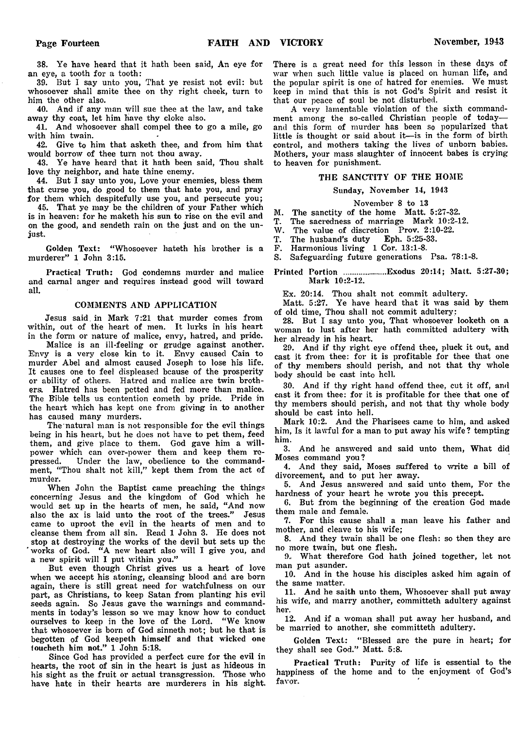38. Ye have heard that it hath been said, An eye for an eye, a tooth for a tooth:

39. But I say unto you, That ye resist not evil: but whosoever shall smite thee on thy right cheek, turn to him the other also.

40. And if any man will sue thee at the law, and take away thy coat, let him have thy cloke also.

41. And whosoever shall compel thee to go a mile, go with him twain.

42. Give to him that asketh thee, and from him that would borrow of thee turn not thou away.

43. Ye have heard that it hath been said, Thou shalt love thy neighbor, and hate thine enemy.

44. But I say unto you, Love your enemies, bless them that curse you, do good to them that hate you, and pray for them which despitefully use you, and persecute you;

45. That ye may be the children of your Father which is in heaven: for he maketh his sun to rise on the evil and on the good, and sendeth rain on the just and on the unjust.

Golden Text: "Whosoever hateth his brother is a murderer" 1 John 3:15.

Practical Truth: God condemns murder and malice and carnal anger and requires instead good will toward all.

#### COMMENTS AND APPLICATION

Jesus said, in Mark 7:21 that murder comes from within, out of the heart of men. It lurks in his heart in the form or nature of malice, envy, hatred, and pride.

Malice is an ill-feeling or grudge against another. Envy is a very close kin to it. Envy caused Cain to murder Abel and almost caused Joseph to lose his life. It causes one to feel displeased bcause of the prosperity or ability of others. Hatred and malice are twin brothers. Hatred has been petted and fed more than malice. The Bible tells us contention cometh by pride. Pride in the heart which has kept one from giving in to another has caused many murders.

The natural man is not responsible for the evil things being in his heart, but he does not have to pet them, feed them, and give place to them. God gave him a willpower which can over-power them and keep them repressed. Under the law, obedience to the commandment, " Thou shalt not kill," kept them from the act of murder.

When John the Baptist came preaching the things concerning Jesus and the kingdom of God which he would set up in the hearts of men, he said, "And now also the ax is laid unto the root of the trees." Jesus came to uproot the evil in the hearts of men and to cleanse them from all sin. Read 1 John 3. He does not stop at destroying the works of the devil but sets up the works of God. "A new heart also will I give you, and a new spirit will I put within you."

But even though Christ gives us a heart of love when we accept his atoning, cleansing blood and are born again, there is still great need for watchfulness on our part, as Christians, to keep Satan from planting his evil seeds again. So Jesus gave the warnings and commandments in today's lesson so we may know how to conduct ourselves to keep in the love of the Lord. " We know that whosoever is born of God sinneth not; but he that is begotten of God keepeth himself and that wicked one toucheth him not." 1 John 5:18.

Since God has provided a perfect cure for the evil in hearts, the root of sin in the heart is just as hideous in his sight as the fruit or actual transgression. Those who have hate in their hearts are murderers in his sight.

There is a great need for this lesson in these days of war when such little value is placed on human life, and the popular spirit is one of hatred for enemies. We must keep in mind that this is not God's Spirit and resist it that our peace of soul be not disturbed.

A very lamentable violation of the sixth commandment among the so-called Christian people of today and this form of murder has been so popularized that little is thought or said about it—is in the form of birth control, and mothers taking the lives of unborn babies. Mothers, your mass slaughter of innocent babes is crying to heaven for punishment.

#### THE SANCTITY OF THE HOME

#### Sunday, November 14, 1943

November 8 to 13

M. The sanctity of the home Matt. 5:27-32.

T. The sacredness of marriage Mark 10:2-12.

W. The value of discretion Prov. 2:10-22.<br>T. The husband's duty Eph. 5:25-33.

T. The husband's duty Eph. 5:25-33.

F. Harmonious living 1 Cor. 13:1-8.

S. Safeguarding future generations Psa. 78:1-8.

#### Printed Portion ..................Exodus 20:14; Matt. 5:27-30; Mark 10:2-12.

Ex. 20:14. Thou shalt not commit adultery.

Matt. 5:27. Ye have heard that it was said by them of old time, Thou shall not commit adultery:

28. But I say unto you, That whosoever looketh on a woman to lust after her hath committed adultery with her already in his heart.

29. And if thy right eye offend thee, pluck it out, and cast it from thee: for it is profitable for thee that one of thy members should perish, and not that thy whole body should be cast into hell.

30. And if thy right hand offend thee, cut it off, and cast it from thee: for it is profitable for thee that one of thy members should perish, and not that thy whole body should be cast into hell.

Mark 10:2. And the Pharisees came to him, and asked him, Is it lawful for a man to put away his wife? tempting him.

3. And he answered and said unto them, What did Moses command you?

4. And they said, Moses suffered to write a bill of divorcement, and to put her away.

5. And Jesus answered and said unto them, For the hardness of your heart he wrote you this precept.

6. But from the beginning of the creation God made them male and female.

7. For this cause shall a man leave his father and mother, and cleave to his wife;

8. And they twain shall be one flesh: so then they are no more twain, but one flesh.

9.. What therefore God hath joined together, let not man put asunder.

10. And in the house his disciples asked him again of the same matter.

11. And he saith unto them, Whosoever shall put away his wife, and marry another, committeth adultery against her.

12. And if a woman shall put away her husband, and be married to another, she committeth adultery.

Golden Text: "Blessed are the pure in heart; for they shall see God." Matt. 5:8.

Practical Truth: Purity of life is essential to the happiness of the home and to the enjoyment of God's favor.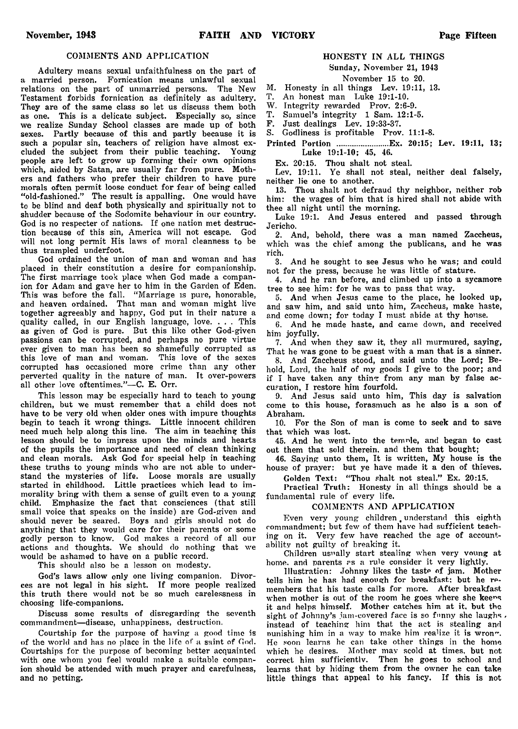### COMMENTS AND APPLICATION

Adultery means sexual unfaithfulness on the part of a married person. Fornication means unlawful sexual relations on the part of unmarried persons. The New Testament forbids fornication as definitely as adultery. They are of the same class so let us discuss them both as one. This is a delicate subject. Especially so, since we realize Sunday School classes are made up of both sexes. Partly because of this and partly because it is such a popular sin, teachers of religion have almost excluded the subject from their public teaching. Young people are left to grow up forming their own opinions which, aided by Satan, are usually far from pure. Mothers and fathers who prefer their children to have pure morals often permit loose conduct for fear of being called "old-fashioned." The result is appalling. One would have to be blind and deaf both physically and spiritually not to shudder because of the Sodomite behaviour in our country. God is no respecter of nations. If one nation met destruction because of this sin, America will not escape. God will not long permit His laws of moral cleanness to be thus trampled underfoot.

God ordained the union of man and woman and has placed in their constitution a desire for companionship. The first marriage took place when God made a companion for Adam and gave her to him in the Garden of Eden. This was before the fall. "Marriage is pure, honorable, and heaven ordained. That man and woman might live together agreeably and happy, God put in their nature a quality called, in our English language, love. . . . This as given of God is pure. But this like other God-given passions can be corrupted, and perhaps no pure virtue ever given to man has been so shamefully corrupted as this love of man and woman. This love of the sexes corrupted has occasioned more crime than any other perverted quality in the nature of man. It over-powers all other love oftentimes."—C. E. Orr.

This lesson may be especially hard to teach to young children, but we must remember that a child does not have to be very old when older ones with impure thoughts begin to teach it wrong things. Little innocent children need much help along this line. The aim in teaching this lesson should be to impress upon the minds and hearts of the pupils the importance and need of clean thinking and clean morals. Ask God for special help in teaching these truths to young minds who are not able to understand the mysteries of life. Loose morals are usually started in childhood. Little practices which lead to immorality bring with them a sense of guilt even to a young child. Emphasize the fact that consciences (that still small voice that speaks on the inside) are God-given and should never be seared. Boys and girls should not do anything that they would care for their parents or some godly person to know. God makes a record of all our actions and thoughts. We should do nothing that we would be ashamed to have on a public record.

This should also be a lesson on modesty.

God's laws allow only one living companion. Divorces are not legal in his sight. If more people realized this truth there would not be so much carelessness in choosing life-companions.

Discuss some results of disregarding the seventh commandment—disease, unhappiness, destruction.

Courtship for the purpose of having a good time is of the world and has no place in the life of a saint of God. Courtships for the purpose of becoming better acquainted with one whom you feel would make a suitable companion should be attended with much prayer and carefulness, and no petting.

## HONESTY IN ALL THINGS

## Sunday, November 21, 1943

## November 15 to 20.

- M. Honesty in all things Lev. 19:11, 13.<br>T. An honest man Luke 19:1-10.
- An honest man Luke 19:1-10.

W. Integrity rewarded Prov. 2:6-9.<br>T. Samuel's integrity 1 Sam. 12:1-

T. Samuel's integrity 1 Sam. 12:1-5.

Just dealings Lev. 19:33-37.

S. Godliness is profitable Prov. 11:1-8.

Printed Portion ......................Ex. 20:15; Lev. 19:11, 13; Luke 19:1-10; 45, 46.

Ex. 20:15. Thou shalt not steal.

Lev. 19:11. Ye shall not steal, neither deal falsely, neither lie one to another.

13. Thou shalt not defraud thy neighbor, neither rob him: the wages of him that is hired shall not abide with thee all night until the morning.

Luke 19:1. And Jesus entered and passed through Jericho.

2. And, behold, there was a man named Zaccheus, which was the chief among the publicans, and he was rich.

3. And he sought to see Jesus who he was; and could not for the press, because he was little of stature.

4. And he ran before, and climbed up into a sycamore tree to see him: for he was to pass that way.

5. And when Jesus came to the place, he looked up, and saw him, and said unto him, Zaccheus, make haste, and come down; for today I must abide at thy house.

6. And he made haste, and came down, and received him joyfully.

7. And when they saw it, they all murmured, saying, That he was gone to be guest with a man that is a sinner.

8. And Zaccheus stood, and said unto the Lord; Behold, Lord, the half of my goods I give to the poor; and if I have taken any thing from any man by false accusation, I restore him fourfold.

9. And Jesus said unto him, This day is salvation come to this house, forasmuch as he also is a son of Abraham.

10. For the Son of man is come to seek and to save that which was lost.

45. And he went into the temple, and began to cast out them that sold therein, and them that bought;

46. Saying unto them, It is written, My house is the house of prayer: but ye have made it a den of thieves.

Golden Text: "Thou shalt not steal." Ex. 20:15.

Practical Truth: Honesty in all things should be a fundamental rule of every life.

#### COMMENTS AND APPLICATION

Even very young children, understand this eighth commandment; but few of them have had sufficient teaching on it. Very few have reached the age of accountability not guilty of breaking it.

Children usually start stealing when very voung at home, and parents as a rule consider it very lightly.

Illustration: Johnny likes the taste of jam. Mother tells him he has had enough for breakfast: but he remembers that his taste calls for more. After breakfast when mother is out of the room he goes where she keeps it and helps himself. Mother catches him at it, but the sight of Johnny's jam-covered face is so funny she laughs, instead of teaching him that the act is stealing and nunishing him in a way to make him realize it is wron". He soon learns he can take other things in the home which he desires. Mother may scold at times, but not correct him sufficiently. Then he goes to school and learns that by hiding them from the owner he can take little things that appeal to his fancy. If this is not